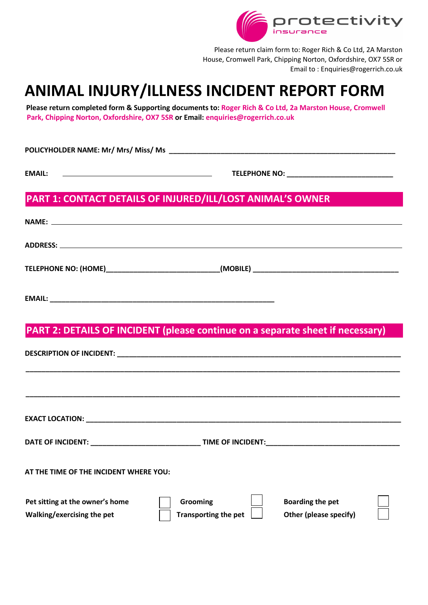

Please return claim form to: Roger Rich & Co Ltd, 2A Marston House, Cromwell Park, Chipping Norton, Oxfordshire, OX7 5SR or Email to : Enquiries@rogerrich.co.uk

# **ANIMAL INJURY/ILLNESS INCIDENT REPORT FORM**

**Please return completed form & Supporting documents to: Roger Rich & Co Ltd, 2a Marston House, Cromwell Park, Chipping Norton, Oxfordshire, OX7 5SR or Email: enquiries@rogerrich.co.uk**

**POLICYHOLDER NAME: Mr/ Mrs/ Miss/ Ms \_\_\_\_\_\_\_\_\_\_\_\_\_\_\_\_\_\_\_\_\_\_\_\_\_\_\_\_\_\_\_\_\_\_\_\_\_\_\_\_\_\_\_\_\_\_\_\_\_\_\_\_\_\_\_\_\_** 

**EMAIL: TELEPHONE NO: \_\_\_\_\_\_\_\_\_\_\_\_\_\_\_\_\_\_\_\_\_\_\_\_\_\_\_**

# **PART 1: CONTACT DETAILS OF INJURED/ILL/LOST ANIMAL'S OWNER**

| NAME: NAME AND A CONTRACT A CONTRACT OF THE CONTRACT OF THE CONTRACT OF THE CONTRACT OF THE CONTRACT OF THE CONTRACT OF THE CONTRACT OF THE CONTRACT OF THE CONTRACT OF THE CONTRACT OF THE CONTRACT OF THE CONTRACT OF THE CO |  |
|--------------------------------------------------------------------------------------------------------------------------------------------------------------------------------------------------------------------------------|--|
|                                                                                                                                                                                                                                |  |
|                                                                                                                                                                                                                                |  |
|                                                                                                                                                                                                                                |  |
| PART 2: DETAILS OF INCIDENT (please continue on a separate sheet if necessary)                                                                                                                                                 |  |
|                                                                                                                                                                                                                                |  |
|                                                                                                                                                                                                                                |  |
| <b>EXACT LOCATION:</b>                                                                                                                                                                                                         |  |

**DATE OF INCIDENT: \_\_\_\_\_\_\_\_\_\_\_\_\_\_\_\_\_\_\_\_\_\_\_\_\_\_\_\_ TIME OF INCIDENT:\_\_\_\_\_\_\_\_\_\_\_\_\_\_\_\_\_\_\_\_\_\_\_\_\_\_\_\_\_\_\_\_\_\_** 

**AT THE TIME OF THE INCIDENT WHERE YOU:**

| Pet sitting at the owner's home | Grooming             | <b>Boarding the pet</b> |  |
|---------------------------------|----------------------|-------------------------|--|
| Walking/exercising the pet      | Transporting the pet | Other (please specify)  |  |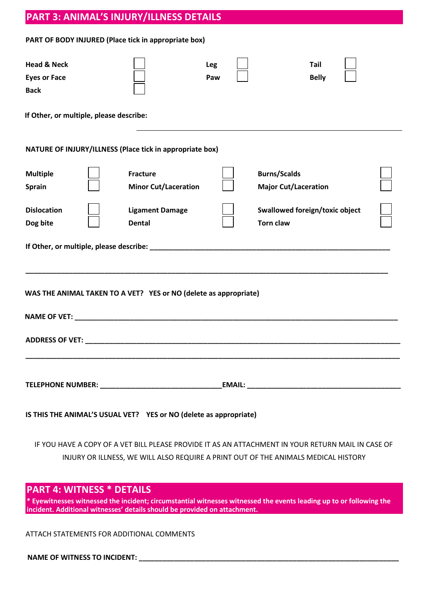# **PART 3: ANIMAL'S INJURY/ILLNESS DETAILS**

#### **PART OF BODY INJURED (Place tick in appropriate box)**

| <b>Head &amp; Neck</b>                                            |                             | <b>Leg</b> | Tail                                                                                                                                                                                     |  |
|-------------------------------------------------------------------|-----------------------------|------------|------------------------------------------------------------------------------------------------------------------------------------------------------------------------------------------|--|
| <b>Eyes or Face</b>                                               |                             | Paw        | <b>Belly</b>                                                                                                                                                                             |  |
| <b>Back</b>                                                       |                             |            |                                                                                                                                                                                          |  |
| If Other, or multiple, please describe:                           |                             |            |                                                                                                                                                                                          |  |
| NATURE OF INJURY/ILLNESS (Place tick in appropriate box)          |                             |            |                                                                                                                                                                                          |  |
| <b>Multiple</b>                                                   | <b>Fracture</b>             |            | <b>Burns/Scalds</b>                                                                                                                                                                      |  |
| <b>Sprain</b>                                                     | <b>Minor Cut/Laceration</b> |            | <b>Major Cut/Laceration</b>                                                                                                                                                              |  |
| <b>Dislocation</b>                                                | <b>Ligament Damage</b>      |            | <b>Swallowed foreign/toxic object</b>                                                                                                                                                    |  |
| Dog bite                                                          | <b>Dental</b>               |            | <b>Torn claw</b>                                                                                                                                                                         |  |
| WAS THE ANIMAL TAKEN TO A VET? YES or NO (delete as appropriate)  |                             |            |                                                                                                                                                                                          |  |
|                                                                   |                             |            |                                                                                                                                                                                          |  |
|                                                                   |                             |            |                                                                                                                                                                                          |  |
| IS THIS THE ANIMAL'S USUAL VET? YES or NO (delete as appropriate) |                             |            |                                                                                                                                                                                          |  |
|                                                                   |                             |            | IF YOU HAVE A COPY OF A VET BILL PLEASE PROVIDE IT AS AN ATTACHMENT IN YOUR RETURN MAIL IN CASE OF<br>INJURY OR ILLNESS, WE WILL ALSO REQUIRE A PRINT OUT OF THE ANIMALS MEDICAL HISTORY |  |
| <b>PART 4: WITNESS * DETAILS</b>                                  |                             |            |                                                                                                                                                                                          |  |

**\* Eyewitnesses witnessed the incident; circumstantial witnesses witnessed the events leading up to or following the incident. Additional witnesses' details should be provided on attachment.**

ATTACH STATEMENTS FOR ADDITIONAL COMMENTS

NAME OF WITNESS TO INCIDENT: \_\_